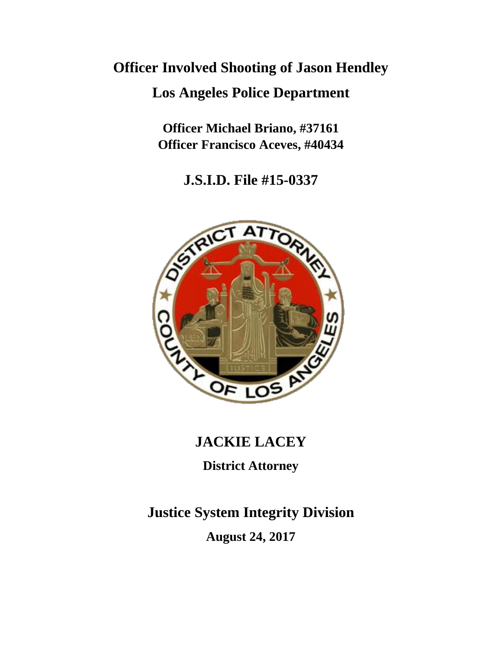# **Officer Involved Shooting of Jason Hendley**

# **Los Angeles Police Department**

**Officer Michael Briano, #37161 Officer Francisco Aceves, #40434**

**J.S.I.D. File #15-0337**



# **JACKIE LACEY**

**District Attorney**

**Justice System Integrity Division**

**August 24, 2017**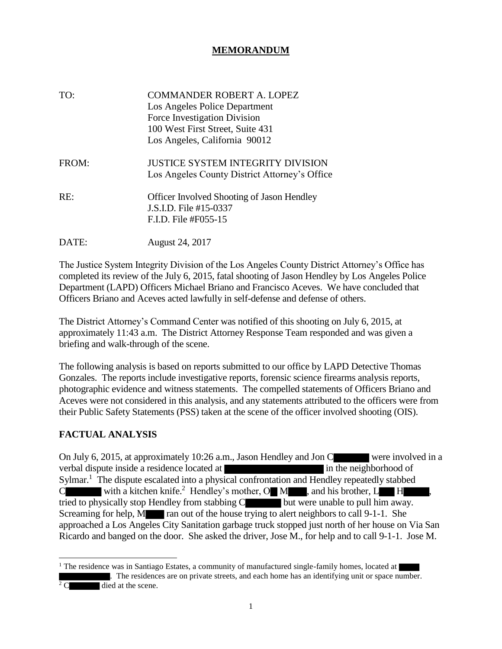## **MEMORANDUM**

| TO:   | COMMANDER ROBERT A. LOPEZ<br>Los Angeles Police Department<br>Force Investigation Division<br>100 West First Street, Suite 431<br>Los Angeles, California 90012 |
|-------|-----------------------------------------------------------------------------------------------------------------------------------------------------------------|
| FROM: | JUSTICE SYSTEM INTEGRITY DIVISION<br>Los Angeles County District Attorney's Office                                                                              |
| RE:   | <b>Officer Involved Shooting of Jason Hendley</b><br>J.S.I.D. File #15-0337<br>$F.I.D.$ File #F055-15                                                           |
| DATE: | August 24, 2017                                                                                                                                                 |

The Justice System Integrity Division of the Los Angeles County District Attorney's Office has completed its review of the July 6, 2015, fatal shooting of Jason Hendley by Los Angeles Police Department (LAPD) Officers Michael Briano and Francisco Aceves. We have concluded that Officers Briano and Aceves acted lawfully in self-defense and defense of others.

The District Attorney's Command Center was notified of this shooting on July 6, 2015, at approximately 11:43 a.m. The District Attorney Response Team responded and was given a briefing and walk-through of the scene.

The following analysis is based on reports submitted to our office by LAPD Detective Thomas Gonzales. The reports include investigative reports, forensic science firearms analysis reports, photographic evidence and witness statements. The compelled statements of Officers Briano and Aceves were not considered in this analysis, and any statements attributed to the officers were from their Public Safety Statements (PSS) taken at the scene of the officer involved shooting (OIS).

## **FACTUAL ANALYSIS**

On July 6, 2015, at approximately 10:26 a.m., Jason Hendley and Jon C were involved in a verbal dispute inside a residence located at in the neighborhood of Sylmar.<sup>1</sup> The dispute escalated into a physical confrontation and Hendley repeatedly stabbed C with a kitchen knife.<sup>2</sup> Hendley's mother,  $O \setminus M$ , and his brother,  $L \setminus H$ , tried to physically stop Hendley from stabbing C but were unable to pull him away. Screaming for help, M ran out of the house trying to alert neighbors to call 9-1-1. She approached a Los Angeles City Sanitation garbage truck stopped just north of her house on Via San Ricardo and banged on the door. She asked the driver, Jose M., for help and to call 9-1-1. Jose M.

<sup>1</sup> The residence was in Santiago Estates, a community of manufactured single-family homes, located at . The residences are on private streets, and each home has an identifying unit or space number.  $2^2$  C died at the scene.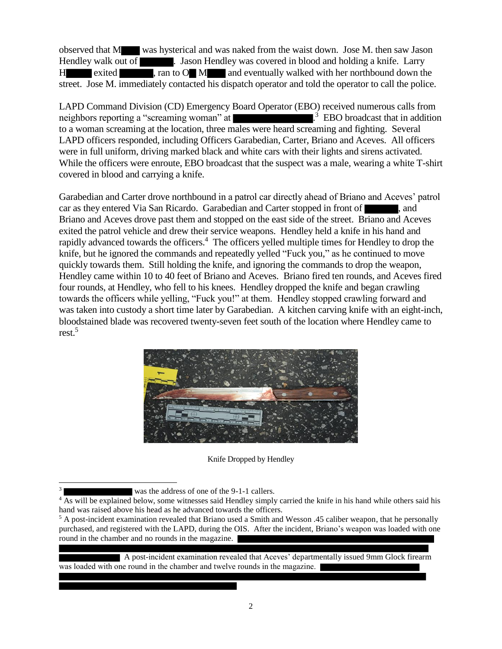observed that M was hysterical and was naked from the waist down. Jose M. then saw Jason Hendley walk out of . Jason Hendley was covered in blood and holding a knife. Larry H exited , ran to O M and eventually walked with her northbound down the street. Jose M. immediately contacted his dispatch operator and told the operator to call the police.

LAPD Command Division (CD) Emergency Board Operator (EBO) received numerous calls from neighbors reporting a "screaming woman" at <sup>3</sup> EBO broadcast that in addition to a woman screaming at the location, three males were heard screaming and fighting. Several LAPD officers responded, including Officers Garabedian, Carter, Briano and Aceves. All officers were in full uniform, driving marked black and white cars with their lights and sirens activated. While the officers were enroute, EBO broadcast that the suspect was a male, wearing a white T-shirt covered in blood and carrying a knife.

Garabedian and Carter drove northbound in a patrol car directly ahead of Briano and Aceves' patrol car as they entered Via San Ricardo. Garabedian and Carter stopped in front of  $\blacksquare$ , and Briano and Aceves drove past them and stopped on the east side of the street. Briano and Aceves exited the patrol vehicle and drew their service weapons. Hendley held a knife in his hand and rapidly advanced towards the officers.<sup>4</sup> The officers yelled multiple times for Hendley to drop the knife, but he ignored the commands and repeatedly yelled "Fuck you," as he continued to move quickly towards them. Still holding the knife, and ignoring the commands to drop the weapon, Hendley came within 10 to 40 feet of Briano and Aceves. Briano fired ten rounds, and Aceves fired four rounds, at Hendley, who fell to his knees. Hendley dropped the knife and began crawling towards the officers while yelling, "Fuck you!" at them. Hendley stopped crawling forward and was taken into custody a short time later by Garabedian. A kitchen carving knife with an eight-inch, bloodstained blade was recovered twenty-seven feet south of the location where Hendley came to rest.<sup>5</sup>



Knife Dropped by Hendley

 $\overline{a}$ 3

 A post-incident examination revealed that Aceves' departmentally issued 9mm Glock firearm was loaded with one round in the chamber and twelve rounds in the magazine.

was the address of one of the 9-1-1 callers.

<sup>&</sup>lt;sup>4</sup> As will be explained below, some witnesses said Hendley simply carried the knife in his hand while others said his hand was raised above his head as he advanced towards the officers.

<sup>&</sup>lt;sup>5</sup> A post-incident examination revealed that Briano used a Smith and Wesson .45 caliber weapon, that he personally purchased, and registered with the LAPD, during the OIS. After the incident, Briano's weapon was loaded with one round in the chamber and no rounds in the magazine.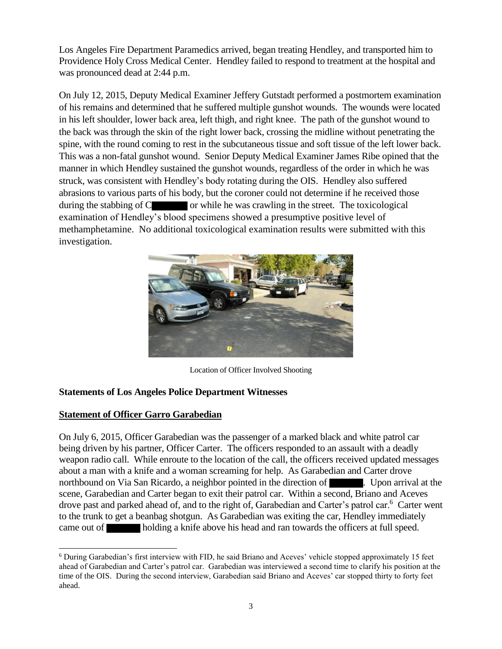Los Angeles Fire Department Paramedics arrived, began treating Hendley, and transported him to Providence Holy Cross Medical Center. Hendley failed to respond to treatment at the hospital and was pronounced dead at 2:44 p.m.

On July 12, 2015, Deputy Medical Examiner Jeffery Gutstadt performed a postmortem examination of his remains and determined that he suffered multiple gunshot wounds. The wounds were located in his left shoulder, lower back area, left thigh, and right knee. The path of the gunshot wound to the back was through the skin of the right lower back, crossing the midline without penetrating the spine, with the round coming to rest in the subcutaneous tissue and soft tissue of the left lower back. This was a non-fatal gunshot wound. Senior Deputy Medical Examiner James Ribe opined that the manner in which Hendley sustained the gunshot wounds, regardless of the order in which he was struck, was consistent with Hendley's body rotating during the OIS. Hendley also suffered abrasions to various parts of his body, but the coroner could not determine if he received those during the stabbing of  $C$  or while he was crawling in the street. The toxicological examination of Hendley's blood specimens showed a presumptive positive level of methamphetamine. No additional toxicological examination results were submitted with this investigation.



Location of Officer Involved Shooting

## **Statements of Los Angeles Police Department Witnesses**

## **Statement of Officer Garro Garabedian**

 $\overline{a}$ 

On July 6, 2015, Officer Garabedian was the passenger of a marked black and white patrol car being driven by his partner, Officer Carter. The officers responded to an assault with a deadly weapon radio call. While enroute to the location of the call, the officers received updated messages about a man with a knife and a woman screaming for help. As Garabedian and Carter drove northbound on Via San Ricardo, a neighbor pointed in the direction of . Upon arrival at the scene, Garabedian and Carter began to exit their patrol car. Within a second, Briano and Aceves drove past and parked ahead of, and to the right of, Garabedian and Carter's patrol car.<sup>6</sup> Carter went to the trunk to get a beanbag shotgun. As Garabedian was exiting the car, Hendley immediately came out of holding a knife above his head and ran towards the officers at full speed.

<sup>6</sup> During Garabedian's first interview with FID, he said Briano and Aceves' vehicle stopped approximately 15 feet ahead of Garabedian and Carter's patrol car. Garabedian was interviewed a second time to clarify his position at the time of the OIS. During the second interview, Garabedian said Briano and Aceves' car stopped thirty to forty feet ahead.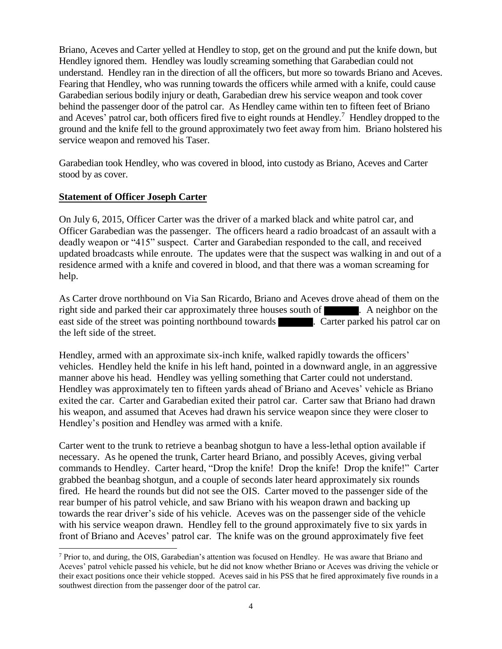Briano, Aceves and Carter yelled at Hendley to stop, get on the ground and put the knife down, but Hendley ignored them. Hendley was loudly screaming something that Garabedian could not understand. Hendley ran in the direction of all the officers, but more so towards Briano and Aceves. Fearing that Hendley, who was running towards the officers while armed with a knife, could cause Garabedian serious bodily injury or death, Garabedian drew his service weapon and took cover behind the passenger door of the patrol car. As Hendley came within ten to fifteen feet of Briano and Aceves' patrol car, both officers fired five to eight rounds at Hendley.<sup>7</sup> Hendley dropped to the ground and the knife fell to the ground approximately two feet away from him. Briano holstered his service weapon and removed his Taser.

Garabedian took Hendley, who was covered in blood, into custody as Briano, Aceves and Carter stood by as cover.

#### **Statement of Officer Joseph Carter**

 $\overline{a}$ 

On July 6, 2015, Officer Carter was the driver of a marked black and white patrol car, and Officer Garabedian was the passenger. The officers heard a radio broadcast of an assault with a deadly weapon or "415" suspect. Carter and Garabedian responded to the call, and received updated broadcasts while enroute. The updates were that the suspect was walking in and out of a residence armed with a knife and covered in blood, and that there was a woman screaming for help.

As Carter drove northbound on Via San Ricardo, Briano and Aceves drove ahead of them on the right side and parked their car approximately three houses south of . A neighbor on the east side of the street was pointing northbound towards . Carter parked his patrol car on the left side of the street.

Hendley, armed with an approximate six-inch knife, walked rapidly towards the officers' vehicles. Hendley held the knife in his left hand, pointed in a downward angle, in an aggressive manner above his head. Hendley was yelling something that Carter could not understand. Hendley was approximately ten to fifteen yards ahead of Briano and Aceves' vehicle as Briano exited the car. Carter and Garabedian exited their patrol car. Carter saw that Briano had drawn his weapon, and assumed that Aceves had drawn his service weapon since they were closer to Hendley's position and Hendley was armed with a knife.

Carter went to the trunk to retrieve a beanbag shotgun to have a less-lethal option available if necessary. As he opened the trunk, Carter heard Briano, and possibly Aceves, giving verbal commands to Hendley. Carter heard, "Drop the knife! Drop the knife! Drop the knife!" Carter grabbed the beanbag shotgun, and a couple of seconds later heard approximately six rounds fired. He heard the rounds but did not see the OIS. Carter moved to the passenger side of the rear bumper of his patrol vehicle, and saw Briano with his weapon drawn and backing up towards the rear driver's side of his vehicle. Aceves was on the passenger side of the vehicle with his service weapon drawn. Hendley fell to the ground approximately five to six yards in front of Briano and Aceves' patrol car. The knife was on the ground approximately five feet

<sup>7</sup> Prior to, and during, the OIS, Garabedian's attention was focused on Hendley. He was aware that Briano and Aceves' patrol vehicle passed his vehicle, but he did not know whether Briano or Aceves was driving the vehicle or their exact positions once their vehicle stopped. Aceves said in his PSS that he fired approximately five rounds in a southwest direction from the passenger door of the patrol car.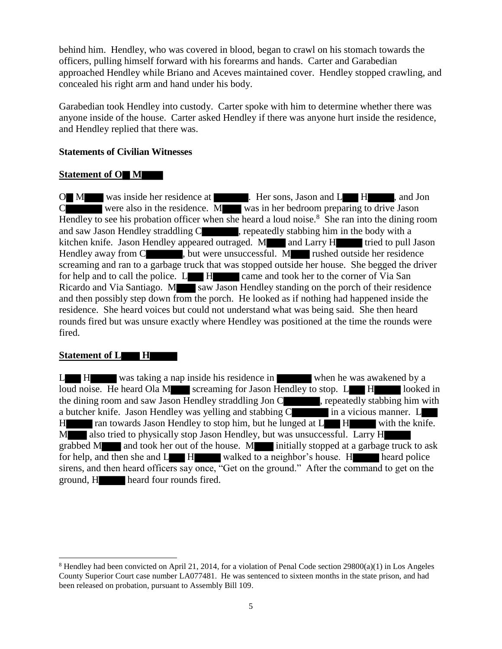behind him. Hendley, who was covered in blood, began to crawl on his stomach towards the officers, pulling himself forward with his forearms and hands. Carter and Garabedian approached Hendley while Briano and Aceves maintained cover. Hendley stopped crawling, and concealed his right arm and hand under his body.

Garabedian took Hendley into custody. Carter spoke with him to determine whether there was anyone inside of the house. Carter asked Hendley if there was anyone hurt inside the residence, and Hendley replied that there was.

#### **Statements of Civilian Witnesses**

#### **Statement of O M**

O M was inside her residence at . Her sons, Jason and L H, and Jon C were also in the residence. M was in her bedroom preparing to drive Jason Hendley to see his probation officer when she heard a loud noise.<sup>8</sup> She ran into the dining room and saw Jason Hendley straddling C , repeatedly stabbing him in the body with a kitchen knife. Jason Hendley appeared outraged. M and Larry H tried to pull Jason Hendley away from C , but were unsuccessful. M rushed outside her residence screaming and ran to a garbage truck that was stopped outside her house. She begged the driver for help and to call the police.  $L$   $H$  came and took her to the corner of Via San Ricardo and Via Santiago. M saw Jason Hendley standing on the porch of their residence and then possibly step down from the porch. He looked as if nothing had happened inside the residence. She heard voices but could not understand what was being said. She then heard rounds fired but was unsure exactly where Hendley was positioned at the time the rounds were fired.

## **Statement of L H**

l

L H was taking a nap inside his residence in when he was awakened by a loud noise. He heard Ola M screaming for Jason Hendley to stop.  $L \rightarrow H$  looked in the dining room and saw Jason Hendley straddling Jon C , repeatedly stabbing him with a butcher knife. Jason Hendley was yelling and stabbing C in a vicious manner. L H ran towards Jason Hendley to stop him, but he lunged at L H with the knife. M also tried to physically stop Jason Hendley, but was unsuccessful. Larry H grabbed M and took her out of the house. M initially stopped at a garbage truck to ask for help, and then she and  $L$  H walked to a neighbor's house. H heard police sirens, and then heard officers say once, "Get on the ground." After the command to get on the ground, H heard four rounds fired.

<sup>8</sup> Hendley had been convicted on April 21, 2014, for a violation of Penal Code section 29800(a)(1) in Los Angeles County Superior Court case number LA077481. He was sentenced to sixteen months in the state prison, and had been released on probation, pursuant to Assembly Bill 109.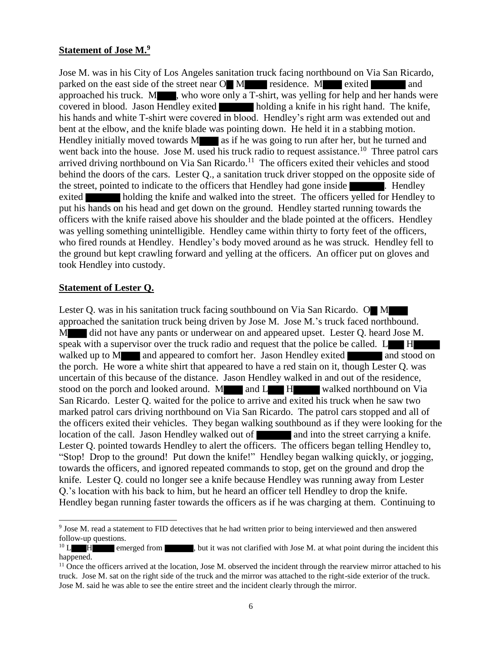#### **Statement of Jose M.<sup>9</sup>**

Jose M. was in his City of Los Angeles sanitation truck facing northbound on Via San Ricardo, parked on the east side of the street near O M residence. M exited and approached his truck. M , who wore only a T-shirt, was yelling for help and her hands were covered in blood. Jason Hendley exited holding a knife in his right hand. The knife, his hands and white T-shirt were covered in blood. Hendley's right arm was extended out and bent at the elbow, and the knife blade was pointing down. He held it in a stabbing motion. Hendley initially moved towards  $M$  as if he was going to run after her, but he turned and went back into the house. Jose M. used his truck radio to request assistance.<sup>10</sup> Three patrol cars arrived driving northbound on Via San Ricardo.<sup>11</sup> The officers exited their vehicles and stood behind the doors of the cars. Lester Q., a sanitation truck driver stopped on the opposite side of the street, pointed to indicate to the officers that Hendley had gone inside **Election**. Hendley exited holding the knife and walked into the street. The officers yelled for Hendley to put his hands on his head and get down on the ground. Hendley started running towards the officers with the knife raised above his shoulder and the blade pointed at the officers. Hendley was yelling something unintelligible. Hendley came within thirty to forty feet of the officers, who fired rounds at Hendley. Hendley's body moved around as he was struck. Hendley fell to the ground but kept crawling forward and yelling at the officers. An officer put on gloves and took Hendley into custody.

#### **Statement of Lester Q.**

 $\overline{\phantom{a}}$ 

Lester Q. was in his sanitation truck facing southbound on Via San Ricardo. O M approached the sanitation truck being driven by Jose M. Jose M.'s truck faced northbound. M did not have any pants or underwear on and appeared upset. Lester Q. heard Jose M. speak with a supervisor over the truck radio and request that the police be called.  $L \cdot H$ walked up to M and appeared to comfort her. Jason Hendley exited and stood on the porch. He wore a white shirt that appeared to have a red stain on it, though Lester Q. was uncertain of this because of the distance. Jason Hendley walked in and out of the residence, stood on the porch and looked around. M and L H walked northbound on Via San Ricardo. Lester Q. waited for the police to arrive and exited his truck when he saw two marked patrol cars driving northbound on Via San Ricardo. The patrol cars stopped and all of the officers exited their vehicles. They began walking southbound as if they were looking for the location of the call. Jason Hendley walked out of and into the street carrying a knife. Lester Q. pointed towards Hendley to alert the officers. The officers began telling Hendley to, "Stop! Drop to the ground! Put down the knife!" Hendley began walking quickly, or jogging, towards the officers, and ignored repeated commands to stop, get on the ground and drop the knife. Lester Q. could no longer see a knife because Hendley was running away from Lester Q.'s location with his back to him, but he heard an officer tell Hendley to drop the knife. Hendley began running faster towards the officers as if he was charging at them. Continuing to

<sup>9</sup> Jose M. read a statement to FID detectives that he had written prior to being interviewed and then answered follow-up questions.

 $10 \text{ L}$  H emerged from , but it was not clarified with Jose M. at what point during the incident this happened.

 $<sup>11</sup>$  Once the officers arrived at the location, Jose M. observed the incident through the rearview mirror attached to his</sup> truck. Jose M. sat on the right side of the truck and the mirror was attached to the right-side exterior of the truck. Jose M. said he was able to see the entire street and the incident clearly through the mirror.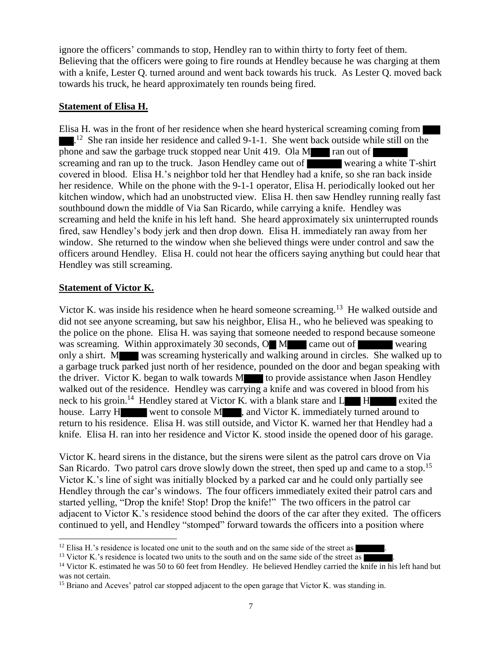ignore the officers' commands to stop, Hendley ran to within thirty to forty feet of them. Believing that the officers were going to fire rounds at Hendley because he was charging at them with a knife, Lester Q. turned around and went back towards his truck. As Lester Q. moved back towards his truck, he heard approximately ten rounds being fired.

#### **Statement of Elisa H.**

Elisa H. was in the front of her residence when she heard hysterical screaming coming from  $1<sup>12</sup>$  She ran inside her residence and called 9-1-1. She went back outside while still on the phone and saw the garbage truck stopped near Unit 419. Ola M ran out of screaming and ran up to the truck. Jason Hendley came out of wearing a white T-shirt covered in blood. Elisa H.'s neighbor told her that Hendley had a knife, so she ran back inside her residence. While on the phone with the 9-1-1 operator, Elisa H. periodically looked out her kitchen window, which had an unobstructed view. Elisa H. then saw Hendley running really fast southbound down the middle of Via San Ricardo, while carrying a knife. Hendley was screaming and held the knife in his left hand. She heard approximately six uninterrupted rounds fired, saw Hendley's body jerk and then drop down. Elisa H. immediately ran away from her window. She returned to the window when she believed things were under control and saw the officers around Hendley. Elisa H. could not hear the officers saying anything but could hear that Hendley was still screaming.

## **Statement of Victor K.**

Victor K. was inside his residence when he heard someone screaming.<sup>13</sup> He walked outside and did not see anyone screaming, but saw his neighbor, Elisa H., who he believed was speaking to the police on the phone. Elisa H. was saying that someone needed to respond because someone was screaming. Within approximately 30 seconds, O M came out of wearing only a shirt. M was screaming hysterically and walking around in circles. She walked up to a garbage truck parked just north of her residence, pounded on the door and began speaking with the driver. Victor K. began to walk towards M to provide assistance when Jason Hendley walked out of the residence. Hendley was carrying a knife and was covered in blood from his neck to his groin.<sup>14</sup> Hendley stared at Victor K. with a blank stare and  $L$  H exited the house. Larry H went to console M , and Victor K. immediately turned around to return to his residence. Elisa H. was still outside, and Victor K. warned her that Hendley had a knife. Elisa H. ran into her residence and Victor K. stood inside the opened door of his garage.

Victor K. heard sirens in the distance, but the sirens were silent as the patrol cars drove on Via San Ricardo. Two patrol cars drove slowly down the street, then sped up and came to a stop.<sup>15</sup> Victor K.'s line of sight was initially blocked by a parked car and he could only partially see Hendley through the car's windows. The four officers immediately exited their patrol cars and started yelling, "Drop the knife! Stop! Drop the knife!" The two officers in the patrol car adjacent to Victor K.'s residence stood behind the doors of the car after they exited. The officers continued to yell, and Hendley "stomped" forward towards the officers into a position where

 $\overline{\phantom{a}}$  $12$  Elisa H.'s residence is located one unit to the south and on the same side of the street as  $\blacksquare$ .

 $13$  Victor K.'s residence is located two units to the south and on the same side of the street as

<sup>&</sup>lt;sup>14</sup> Victor K. estimated he was 50 to 60 feet from Hendley. He believed Hendley carried the knife in his left hand but was not certain.

<sup>&</sup>lt;sup>15</sup> Briano and Aceves' patrol car stopped adjacent to the open garage that Victor K. was standing in.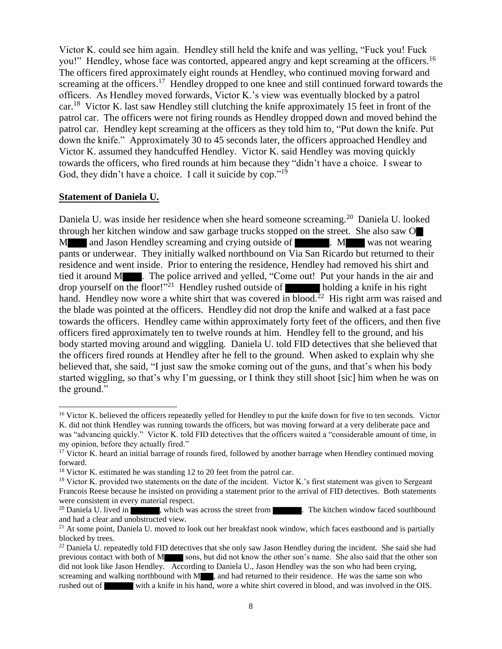Victor K. could see him again. Hendley still held the knife and was yelling, "Fuck you! Fuck you!" Hendley, whose face was contorted, appeared angry and kept screaming at the officers.<sup>16</sup> The officers fired approximately eight rounds at Hendley, who continued moving forward and screaming at the officers.<sup>17</sup> Hendley dropped to one knee and still continued forward towards the officers. As Hendley moved forwards, Victor K.'s view was eventually blocked by a patrol car.<sup>18</sup> Victor K. last saw Hendley still clutching the knife approximately 15 feet in front of the patrol car. The officers were not firing rounds as Hendley dropped down and moved behind the patrol car. Hendley kept screaming at the officers as they told him to, "Put down the knife. Put down the knife." Approximately 30 to 45 seconds later, the officers approached Hendley and Victor K. assumed they handcuffed Hendley. Victor K. said Hendley was moving quickly towards the officers, who fired rounds at him because they "didn't have a choice. I swear to God, they didn't have a choice. I call it suicide by cop."<sup>19</sup>

#### **Statement of Daniela U.**

l

Daniela U. was inside her residence when she heard someone screaming.<sup>20</sup> Daniela U. looked through her kitchen window and saw garbage trucks stopped on the street. She also saw O M and Jason Hendley screaming and crying outside of . M was not wearing pants or underwear. They initially walked northbound on Via San Ricardo but returned to their residence and went inside. Prior to entering the residence, Hendley had removed his shirt and tied it around M . The police arrived and yelled, "Come out! Put your hands in the air and drop yourself on the floor!"<sup>21</sup> Hendley rushed outside of holding a knife in his right hand. Hendley now wore a white shirt that was covered in blood.<sup>22</sup> His right arm was raised and the blade was pointed at the officers. Hendley did not drop the knife and walked at a fast pace towards the officers. Hendley came within approximately forty feet of the officers, and then five officers fired approximately ten to twelve rounds at him. Hendley fell to the ground, and his body started moving around and wiggling. Daniela U. told FID detectives that she believed that the officers fired rounds at Hendley after he fell to the ground. When asked to explain why she believed that, she said, "I just saw the smoke coming out of the guns, and that's when his body started wiggling, so that's why I'm guessing, or I think they still shoot [sic] him when he was on the ground."

<sup>&</sup>lt;sup>16</sup> Victor K. believed the officers repeatedly yelled for Hendley to put the knife down for five to ten seconds. Victor K. did not think Hendley was running towards the officers, but was moving forward at a very deliberate pace and was "advancing quickly." Victor K. told FID detectives that the officers waited a "considerable amount of time, in my opinion, before they actually fired."

<sup>&</sup>lt;sup>17</sup> Victor K. heard an initial barrage of rounds fired, followed by another barrage when Hendley continued moving forward.

<sup>&</sup>lt;sup>18</sup> Victor K. estimated he was standing 12 to 20 feet from the patrol car.

<sup>&</sup>lt;sup>19</sup> Victor K. provided two statements on the date of the incident. Victor K.'s first statement was given to Sergeant Francois Reese because he insisted on providing a statement prior to the arrival of FID detectives. Both statements were consistent in every material respect.<br><sup>20</sup> Daniela U. lived in **New**, which was

<sup>,</sup> which was across the street from . The kitchen window faced southbound and had a clear and unobstructed view.

 $21$  At some point, Daniela U. moved to look out her breakfast nook window, which faces eastbound and is partially blocked by trees.

 $^{22}$  Daniela U. repeatedly told FID detectives that she only saw Jason Hendley during the incident. She said she had previous contact with both of M sons, but did not know the other son's name. She also said that the other son did not look like Jason Hendley. According to Daniela U., Jason Hendley was the son who had been crying, screaming and walking northbound with M , and had returned to their residence. He was the same son who rushed out of with a knife in his hand, wore a white shirt covered in blood, and was involved in the OIS.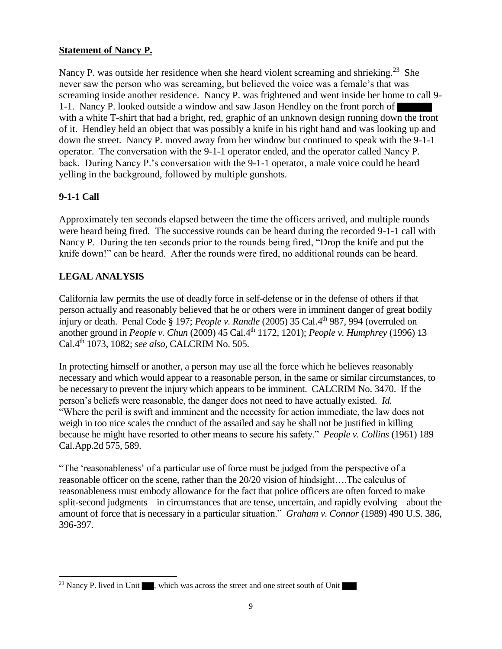## **Statement of Nancy P.**

Nancy P. was outside her residence when she heard violent screaming and shrieking.<sup>23</sup> She never saw the person who was screaming, but believed the voice was a female's that was screaming inside another residence. Nancy P. was frightened and went inside her home to call 9- 1-1. Nancy P. looked outside a window and saw Jason Hendley on the front porch of with a white T-shirt that had a bright, red, graphic of an unknown design running down the front of it. Hendley held an object that was possibly a knife in his right hand and was looking up and down the street. Nancy P. moved away from her window but continued to speak with the 9-1-1 operator. The conversation with the 9-1-1 operator ended, and the operator called Nancy P. back. During Nancy P.'s conversation with the 9-1-1 operator, a male voice could be heard yelling in the background, followed by multiple gunshots.

# **9-1-1 Call**

l

Approximately ten seconds elapsed between the time the officers arrived, and multiple rounds were heard being fired. The successive rounds can be heard during the recorded 9-1-1 call with Nancy P. During the ten seconds prior to the rounds being fired, "Drop the knife and put the knife down!" can be heard. After the rounds were fired, no additional rounds can be heard.

# **LEGAL ANALYSIS**

California law permits the use of deadly force in self-defense or in the defense of others if that person actually and reasonably believed that he or others were in imminent danger of great bodily injury or death. Penal Code § 197; *People v. Randle* (2005) 35 Cal.4<sup>th</sup> 987, 994 (overruled on another ground in *People v. Chun* (2009) 45 Cal.4<sup>th</sup> 1172, 1201); *People v. Humphrey* (1996) 13 Cal.4th 1073, 1082; *see also,* CALCRIM No. 505.

In protecting himself or another, a person may use all the force which he believes reasonably necessary and which would appear to a reasonable person, in the same or similar circumstances, to be necessary to prevent the injury which appears to be imminent. CALCRIM No. 3470. If the person's beliefs were reasonable, the danger does not need to have actually existed. *Id.* "Where the peril is swift and imminent and the necessity for action immediate, the law does not weigh in too nice scales the conduct of the assailed and say he shall not be justified in killing because he might have resorted to other means to secure his safety." *People v. Collins* (1961) 189 Cal.App.2d 575, 589.

"The 'reasonableness' of a particular use of force must be judged from the perspective of a reasonable officer on the scene, rather than the 20/20 vision of hindsight….The calculus of reasonableness must embody allowance for the fact that police officers are often forced to make split-second judgments – in circumstances that are tense, uncertain, and rapidly evolving – about the amount of force that is necessary in a particular situation." *Graham v. Connor* (1989) 490 U.S. 386, 396-397.

<sup>&</sup>lt;sup>23</sup> Nancy P. lived in Unit  $\blacksquare$ , which was across the street and one street south of Unit